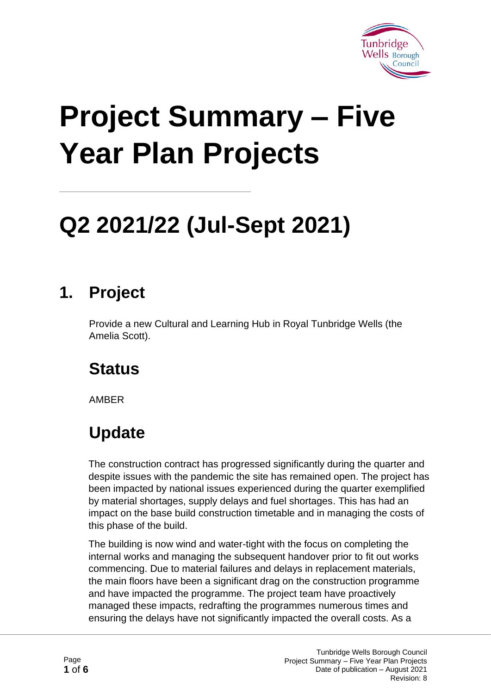

# **Project Summary – Five Year Plan Projects**

## **Q2 2021/22 (Jul-Sept 2021)**

#### **1. Project**

Provide a new Cultural and Learning Hub in Royal Tunbridge Wells (the Amelia Scott).

#### **Status**

AMBER

### **Update**

The construction contract has progressed significantly during the quarter and despite issues with the pandemic the site has remained open. The project has been impacted by national issues experienced during the quarter exemplified by material shortages, supply delays and fuel shortages. This has had an impact on the base build construction timetable and in managing the costs of this phase of the build.

The building is now wind and water-tight with the focus on completing the internal works and managing the subsequent handover prior to fit out works commencing. Due to material failures and delays in replacement materials, the main floors have been a significant drag on the construction programme and have impacted the programme. The project team have proactively managed these impacts, redrafting the programmes numerous times and ensuring the delays have not significantly impacted the overall costs. As a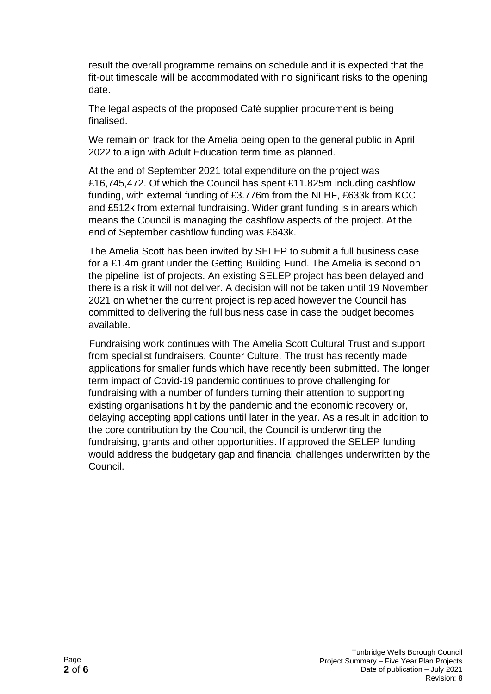result the overall programme remains on schedule and it is expected that the fit-out timescale will be accommodated with no significant risks to the opening date.

The legal aspects of the proposed Café supplier procurement is being finalised.

We remain on track for the Amelia being open to the general public in April 2022 to align with Adult Education term time as planned.

At the end of September 2021 total expenditure on the project was £16,745,472. Of which the Council has spent £11.825m including cashflow funding, with external funding of £3.776m from the NLHF, £633k from KCC and £512k from external fundraising. Wider grant funding is in arears which means the Council is managing the cashflow aspects of the project. At the end of September cashflow funding was £643k.

The Amelia Scott has been invited by SELEP to submit a full business case for a £1.4m grant under the Getting Building Fund. The Amelia is second on the pipeline list of projects. An existing SELEP project has been delayed and there is a risk it will not deliver. A decision will not be taken until 19 November 2021 on whether the current project is replaced however the Council has committed to delivering the full business case in case the budget becomes available.

Fundraising work continues with The Amelia Scott Cultural Trust and support from specialist fundraisers, Counter Culture. The trust has recently made applications for smaller funds which have recently been submitted. The longer term impact of Covid-19 pandemic continues to prove challenging for fundraising with a number of funders turning their attention to supporting existing organisations hit by the pandemic and the economic recovery or, delaying accepting applications until later in the year. As a result in addition to the core contribution by the Council, the Council is underwriting the fundraising, grants and other opportunities. If approved the SELEP funding would address the budgetary gap and financial challenges underwritten by the Council.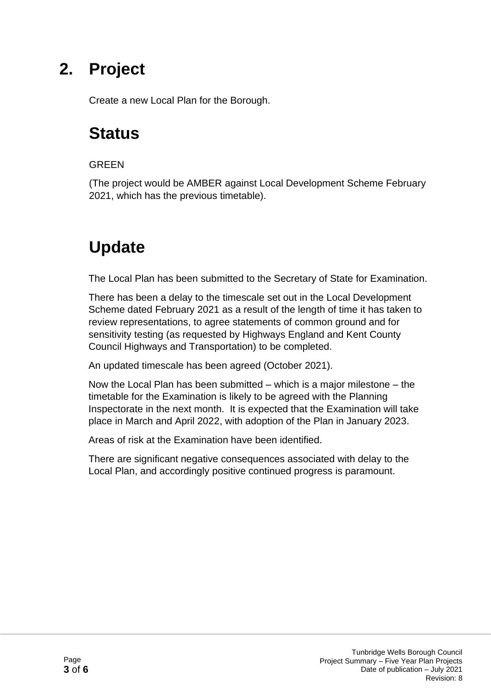Create a new Local Plan for the Borough.

#### **Status**

#### **GREEN**

(The project would be AMBER against Local Development Scheme February 2021, which has the previous timetable).

#### **Update**

The Local Plan has been submitted to the Secretary of State for Examination.

There has been a delay to the timescale set out in the Local Development Scheme dated February 2021 as a result of the length of time it has taken to review representations, to agree statements of common ground and for sensitivity testing (as requested by Highways England and Kent County Council Highways and Transportation) to be completed.

An updated timescale has been agreed (October 2021).

Now the Local Plan has been submitted – which is a major milestone – the timetable for the Examination is likely to be agreed with the Planning Inspectorate in the next month. It is expected that the Examination will take place in March and April 2022, with adoption of the Plan in January 2023.

Areas of risk at the Examination have been identified.

There are significant negative consequences associated with delay to the Local Plan, and accordingly positive continued progress is paramount.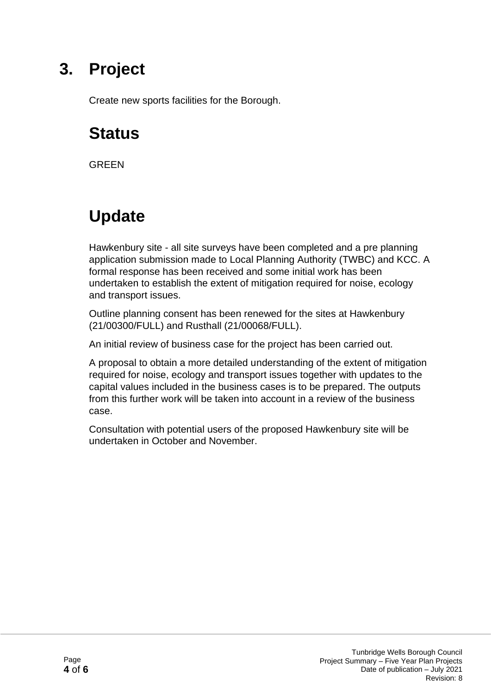Create new sports facilities for the Borough.

#### **Status**

**GRFFN** 

#### **Update**

Hawkenbury site - all site surveys have been completed and a pre planning application submission made to Local Planning Authority (TWBC) and KCC. A formal response has been received and some initial work has been undertaken to establish the extent of mitigation required for noise, ecology and transport issues.

Outline planning consent has been renewed for the sites at Hawkenbury (21/00300/FULL) and Rusthall (21/00068/FULL).

An initial review of business case for the project has been carried out.

A proposal to obtain a more detailed understanding of the extent of mitigation required for noise, ecology and transport issues together with updates to the capital values included in the business cases is to be prepared. The outputs from this further work will be taken into account in a review of the business case.

Consultation with potential users of the proposed Hawkenbury site will be undertaken in October and November.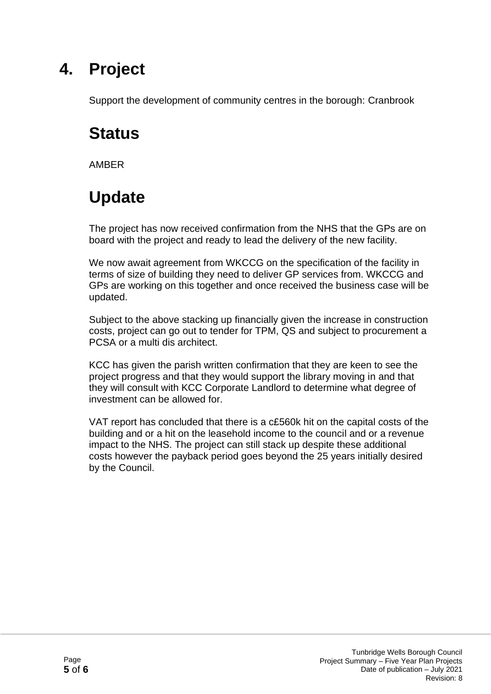Support the development of community centres in the borough: Cranbrook

#### **Status**

AMBER

#### **Update**

The project has now received confirmation from the NHS that the GPs are on board with the project and ready to lead the delivery of the new facility.

We now await agreement from WKCCG on the specification of the facility in terms of size of building they need to deliver GP services from. WKCCG and GPs are working on this together and once received the business case will be updated.

Subject to the above stacking up financially given the increase in construction costs, project can go out to tender for TPM, QS and subject to procurement a PCSA or a multi dis architect.

KCC has given the parish written confirmation that they are keen to see the project progress and that they would support the library moving in and that they will consult with KCC Corporate Landlord to determine what degree of investment can be allowed for.

VAT report has concluded that there is a c£560k hit on the capital costs of the building and or a hit on the leasehold income to the council and or a revenue impact to the NHS. The project can still stack up despite these additional costs however the payback period goes beyond the 25 years initially desired by the Council.